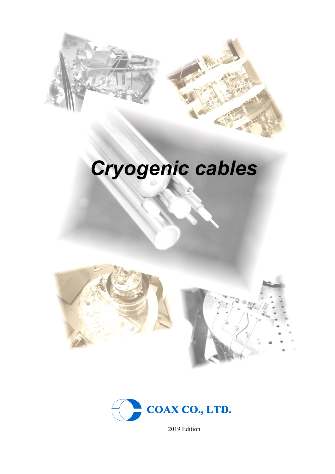

# Cryogenic cables







2019 Edition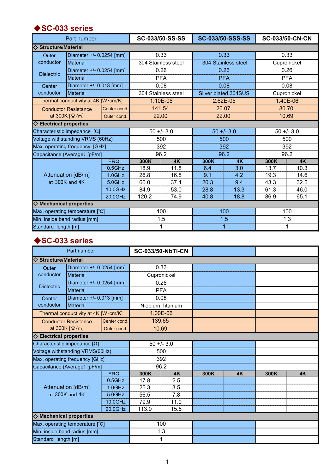#### ◆SC-033 series

|                                  | Part number                                 |             |            | SC-033/50-SS-SS     |                     | <b>SC-033/50-SSS-SS</b> |             | <b>SC-033/50-CN-CN</b> |
|----------------------------------|---------------------------------------------|-------------|------------|---------------------|---------------------|-------------------------|-------------|------------------------|
| <b>Structure/Material</b>        |                                             |             |            |                     |                     |                         |             |                        |
| Outer                            | Diameter +/- 0.0254 [mm]                    |             |            | 0.33                |                     | 0.33                    |             | 0.33                   |
| conductor                        | Material                                    |             |            | 304 Stainless steel | 304 Stainless steel |                         | Cupronickel |                        |
|                                  | Diameter +/- 0.0254 [mm]                    |             | 0.26       |                     | 0.26                |                         |             | 0.26                   |
| <b>Dielectric</b>                | Material                                    |             | <b>PFA</b> |                     | <b>PFA</b>          |                         | <b>PFA</b>  |                        |
| Center                           | Diameter +/- 0.013 [mm]                     |             |            | 0.08                |                     | 0.08                    |             | 0.08                   |
| conductor                        | <b>Material</b>                             |             |            | 304 Stainless steel |                     | Silver plated 304SUS    |             | Cupronickel            |
|                                  | Thermal conductivity at 4K [W·cm/K]         |             |            | 1.10E-06            |                     | 2.62E-05                |             | 1.40E-06               |
|                                  | Center cond.<br><b>Conductor Resistance</b> |             |            | 141.54              |                     | 20.07                   | 80.70       |                        |
|                                  | at 300K $\lceil \Omega/m \rceil$            | Outer cond. | 22.00      |                     | 22.00               |                         | 10.69       |                        |
| $\Diamond$ Electrical properties |                                             |             |            |                     |                     |                         |             |                        |
|                                  | Characteristic impedance $[\Omega]$         |             |            | $50 + -3.0$         |                     | $50 + -3.0$             |             | $50 + -3.0$            |
|                                  | Voltage withstanding VRMS (60Hz)            |             |            | 500                 |                     | 500                     |             | 500                    |
|                                  | Max. operating frequency [GHz]              |             |            | 392                 |                     | 392                     |             | 392                    |
|                                  | Capacitance (Average) [pF/m]                |             | 96.2       |                     | 96.2                |                         | 96.2        |                        |
|                                  |                                             | FRQ.        | 300K       | 4K                  | 300K                | 4K                      | 300K        | <b>4K</b>              |
|                                  |                                             | $0.5$ GHz   | 18.9       | 11.8                | 6.4                 | 3.0                     | 13.7        | 10.3                   |
|                                  | Attenuation [dB/m]                          | $1.0$ GHz   | 26.8       | 16.8                | 9.1                 | 4.2                     | 19.3        | 14.6                   |
|                                  | at 300K and 4K                              | $5.0$ GHz   | 60.0       | 37.4                | 20.3                | 9.4                     | 43.3        | 32.5                   |
|                                  |                                             | 10.0GHz     | 84.9       | 53.0                | 28.8                | 13.3                    | 61.3        | 46.0                   |
|                                  |                                             | 20.0GHz     | 120.2      | 74.9                | 40.8                | 18.8                    | 86.9        | 65.1                   |
| $\Diamond$ Mechanical properties |                                             |             |            |                     |                     |                         |             |                        |
|                                  | Max. operating temperature [°C]             |             |            | 100                 |                     | 100                     |             | 100                    |
| Min. inside bend radius [mm]     |                                             |             |            | 1.5<br>1.5          |                     |                         | 1.3         |                        |
| Standard length [m]              |                                             |             |            | 1                   |                     | 1                       | 1           |                        |

# ◆SC-033 series

|                                                | Part number              |              |            | <b>SC-033/50-NbTi-CN</b> |      |    |      |    |
|------------------------------------------------|--------------------------|--------------|------------|--------------------------|------|----|------|----|
| $\diamond$ Structure/Material                  |                          |              |            |                          |      |    |      |    |
| Outer                                          | Diameter +/- 0.0254 [mm] |              |            | 0.33                     |      |    |      |    |
| conductor                                      | Material                 |              |            | Cupronickel              |      |    |      |    |
|                                                | Diameter +/- 0.0254 [mm] |              | 0.26       |                          |      |    |      |    |
| <b>Dielectric</b>                              | <b>Material</b>          |              | <b>PFA</b> |                          |      |    |      |    |
| Center                                         | Diameter +/- 0.013 [mm]  |              |            | 0.08                     |      |    |      |    |
| conductor                                      | Material                 |              |            | Niobium Titanium         |      |    |      |    |
| Thermal conductivity at 4K [W·cm/K]            |                          |              |            | 1.00E-06                 |      |    |      |    |
| <b>Conductor Resistance</b>                    |                          | Center cond. | 139.65     |                          |      |    |      |    |
| at 300K $\left[\Omega/m\right]$<br>Outer cond. |                          | 10.69        |            |                          |      |    |      |    |
| $\diamondsuit$ Electrical properties           |                          |              |            |                          |      |    |      |    |
| Characteristic impedance $[\Omega]$            |                          |              |            | $50 + -3.0$              |      |    |      |    |
| Voltage withstanding VRMS(60Hz)                |                          |              |            | 500                      |      |    |      |    |
| Max. operating frequency [GHz]                 |                          |              | 392        |                          |      |    |      |    |
| Capacitance (Average) [pF/m]                   |                          |              | 96.2       |                          |      |    |      |    |
|                                                |                          | FRQ.         | 300K       | <b>4K</b>                | 300K | 4K | 300K | 4K |
|                                                |                          | $0.5$ GHz    | 17.8       | 2.5                      |      |    |      |    |
| Attenuation [dB/m]                             |                          | $1.0$ GHz    | 25.3       | 3.5                      |      |    |      |    |
| at 300K and 4K                                 |                          | $5.0$ GHz    | 56.5       | 7.8                      |      |    |      |    |
|                                                |                          | 10.0GHz      | 79.9       | 11.0                     |      |    |      |    |
|                                                | 20.0GHz                  |              | 113.0      | 15.5                     |      |    |      |    |
| $\diamond$ Mechanical properties               |                          |              |            |                          |      |    |      |    |
| Max. operating temperature [°C]                |                          |              |            | 100                      |      |    |      |    |
| Min. inside bend radius [mm]                   |                          |              | 1.3        |                          |      |    |      |    |
| Standard length [m]                            |                          |              |            | 1                        |      |    |      |    |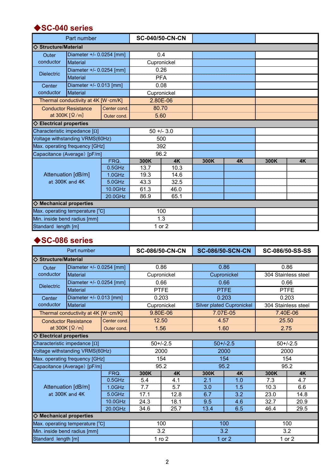#### ◆SC-040 series

|                                      | Part number                     |                         |            | <b>SC-040/50-CN-CN</b> |      |           |      |           |
|--------------------------------------|---------------------------------|-------------------------|------------|------------------------|------|-----------|------|-----------|
| $\diamond$ Structure/Material        |                                 |                         |            |                        |      |           |      |           |
| Outer                                | Diameter +/- 0.0254 [mm]        |                         |            | 0.4                    |      |           |      |           |
| conductor                            | <b>Material</b>                 |                         |            | Cupronickel            |      |           |      |           |
| <b>Dielectric</b>                    | Diameter +/- 0.0254 [mm]        |                         | 0.26       |                        |      |           |      |           |
|                                      | <b>Material</b>                 |                         | <b>PFA</b> |                        |      |           |      |           |
| Center                               |                                 | Diameter +/- 0.013 [mm] |            | 0.08                   |      |           |      |           |
| conductor                            | Material                        |                         |            | Cupronickel            |      |           |      |           |
| Thermal conductivity at 4K [W·cm/K]  |                                 |                         |            | 2.80E-06               |      |           |      |           |
| <b>Conductor Resistance</b>          |                                 | Center cond.            |            | 80.70                  |      |           |      |           |
|                                      | at 300K $[\Omega/m]$            | Outer cond.             |            | 5.60                   |      |           |      |           |
| $\diamondsuit$ Electrical properties |                                 |                         |            |                        |      |           |      |           |
| Characteristic impedance $[\Omega]$  |                                 |                         |            | $50 + -3.0$            |      |           |      |           |
|                                      | Voltage withstanding VRMS(60Hz) |                         |            | 500                    |      |           |      |           |
|                                      | Max. operating frequency [GHz]  |                         | 392        |                        |      |           |      |           |
|                                      | Capacitance (Average) [pF/m]    |                         | 96.2       |                        |      |           |      |           |
|                                      |                                 | FRQ.                    | 300K       | <b>4K</b>              | 300K | <b>4K</b> | 300K | <b>4K</b> |
|                                      |                                 | $0.5$ GHz               | 13.7       | 10.3                   |      |           |      |           |
|                                      | Attenuation [dB/m]              | $1.0$ GHz               | 19.3       | 14.6                   |      |           |      |           |
|                                      | at 300K and 4K                  | $5.0$ GHz               | 43.3       | 32.5                   |      |           |      |           |
|                                      |                                 | 10.0GHz                 | 61.3       | 46.0                   |      |           |      |           |
|                                      |                                 | 20.0GHz                 | 86.9       | 65.1                   |      |           |      |           |
| $\diamond$ Mechanical properties     |                                 |                         |            |                        |      |           |      |           |
| Max. operating temperature [°C]      |                                 |                         |            | 100                    |      |           |      |           |
|                                      | Min. inside bend radius [mm]    |                         |            | 1.3                    |      |           |      |           |
| Standard length [m]                  |                                 |                         |            | 1 or 2                 |      |           |      |           |

# ◆SC-086 series

|                                      | Part number                         |              |             | <b>SC-086/50-CN-CN</b> |             | <b>SC-086/50-SCN-CN</b>          |                     | SC-086/50-SS-SS     |
|--------------------------------------|-------------------------------------|--------------|-------------|------------------------|-------------|----------------------------------|---------------------|---------------------|
| <b>Structure/Material</b>            |                                     |              |             |                        |             |                                  |                     |                     |
| Outer                                | Diameter +/- 0.0254 [mm]            |              |             | 0.86                   |             | 0.86                             |                     | 0.86                |
| conductor                            | <b>Material</b>                     |              |             | Cupronickel            | Cupronickel |                                  | 304 Stainless steel |                     |
|                                      | Diameter +/- 0.0254 [mm]            |              | 0.66        |                        |             | 0.66                             |                     | 0.66                |
| <b>Dielectric</b>                    | <b>Material</b>                     |              | <b>PTFE</b> |                        | <b>PTFE</b> |                                  |                     | <b>PTFE</b>         |
| Center                               | Diameter +/- 0.013 [mm]             |              |             | 0.203                  |             | 0.203                            |                     | 0.203               |
| conductor                            | Material                            |              |             | Cupronickel            |             | <b>Silver plated Cupronickel</b> |                     | 304 Stainless steel |
|                                      | Thermal conductivity at 4K [W·cm/K] |              |             | 9.80E-06               |             | 7.07E-05                         |                     | 7.40E-06            |
|                                      | <b>Conductor Resistance</b>         | Center cond. |             | 12.50                  | 4.57        |                                  | 25.50               |                     |
|                                      | at 300K $[\Omega/m]$                | Outer cond.  |             | 1.56                   | 1.60        |                                  | 2.75                |                     |
| $\diamondsuit$ Electrical properties |                                     |              |             |                        |             |                                  |                     |                     |
|                                      | Characteristic impedance $[\Omega]$ |              |             | $50+/-2.5$             |             | $50+/-2.5$                       |                     | $50+/-2.5$          |
|                                      | Voltage withstanding VRMS(60Hz)     |              |             | 2000                   |             | 2000                             |                     | 2000                |
|                                      | Max. operating frequency [GHz]      |              | 154         |                        | 154         |                                  |                     | 154                 |
|                                      | Capacitance (Average) [pF/m]        |              | 95.2        |                        | 95.2        |                                  | 95.2                |                     |
|                                      |                                     | FRQ.         | 300K        | <b>4K</b>              | 300K        | 4K                               | 300K                | <b>4K</b>           |
|                                      |                                     | $0.5$ GHz    | 5.4         | 4.1                    | 2.1         | 1.0                              | 7.3                 | 4.7                 |
|                                      | Attenuation [dB/m]                  | $1.0$ GHz    | 7.7         | 5.7                    | 3.0         | 1.5                              | 10.3                | 6.6                 |
|                                      | at 300K and 4K                      | $5.0$ GHz    | 17.1        | 12.8                   | 6.7         | 3.2                              | 23.0                | 14.8                |
|                                      |                                     | 10.0GHz      | 24.3        | 18.1                   | 9.5         | 4.6                              | 32.7                | 20.9                |
|                                      |                                     | 20.0GHz      | 34.6        | 25.7                   | 13.4        | 6.5                              | 46.4                | 29.5                |
| $\diamond$ Mechanical properties     |                                     |              |             |                        |             |                                  |                     |                     |
| Max. operating temperature [°C]      |                                     |              |             | 100                    |             | 100                              |                     | 100                 |
| Min. inside bend radius [mm]         |                                     |              |             | 3.2                    |             | 3.2                              | 3.2                 |                     |
| Standard length [m]                  |                                     |              |             | $1$ ro $2$             |             | 1 or 2                           | 1 or 2              |                     |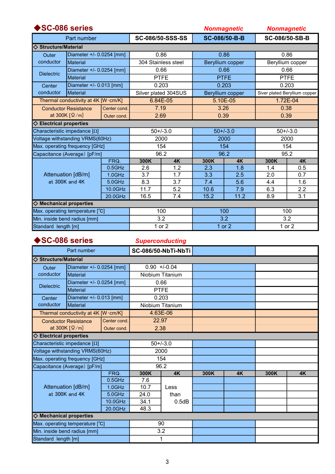| SC-086 series                        |                                                   |              |                     |                      |             | <b>Nonmagnetic</b> |      | <b>Nonmagnetic</b>            |
|--------------------------------------|---------------------------------------------------|--------------|---------------------|----------------------|-------------|--------------------|------|-------------------------------|
|                                      | Part number                                       |              |                     | SC-086/50-SSS-SS     |             | SC-086/50-B-B      |      | SC-086/50-SB-B                |
| I◇ Structure/Material                |                                                   |              |                     |                      |             |                    |      |                               |
| Outer                                | Diameter $+/- 0.0254$ [mm]                        |              |                     | 0.86                 | 0.86        |                    | 0.86 |                               |
| conductor                            | Material                                          |              | 304 Stainless steel |                      |             | Beryllium copper   |      | Beryllium copper              |
| <b>Dielectric</b>                    | Diameter +/- 0.0254 [mm]                          |              |                     | 0.66                 | 0.66        |                    |      | 0.66                          |
|                                      | Material                                          |              |                     | <b>PTFE</b>          | <b>PTFE</b> |                    |      | <b>PTFE</b>                   |
| Center                               | Diameter +/- 0.013 [mm]                           |              |                     | 0.203                |             | 0.203              |      | 0.203                         |
| conductor                            | Material                                          |              |                     | Silver plated 304SUS |             | Beryllium copper   |      | Siver plated Beryllium copper |
|                                      | Thermal conductivity at 4K [W·cm/K]               |              |                     | 6.84E-05             |             | 5.10E-05           |      | 1.72E-04                      |
|                                      | <b>Conductor Resistance</b>                       | Center cond. | 7.19                |                      |             | 3.26               | 0.38 |                               |
|                                      | at 300K $\lceil \Omega/m \rceil$                  | Outer cond.  | 2.69                |                      | 0.39        |                    | 0.39 |                               |
| $\diamondsuit$ Electrical properties |                                                   |              |                     |                      |             |                    |      |                               |
|                                      | Characteristic impedance $[\Omega]$               |              |                     | $50+/-3.0$           |             | $50+/-3.0$         |      | $50+/-3.0$                    |
|                                      | Voltage withstanding VRMS(60Hz)                   |              |                     | 2000                 | 2000        |                    |      | 2000                          |
|                                      | Max. operating frequency [GHz]                    |              |                     | 154                  | 154         |                    |      | 154                           |
|                                      | Capacitance (Average) [pF/m]                      |              |                     | 96.2                 |             | 96.2               |      | 95.2                          |
|                                      |                                                   | FRQ.         | 300K                | 4K                   | 300K        | <b>4K</b>          | 300K | <b>4K</b>                     |
|                                      |                                                   | $0.5$ GHz    | 2.6                 | 1.2                  | 2.3         | 1.8                | 1.4  | 0.5                           |
|                                      | Attenuation [dB/m]                                | $1.0$ GHz    | 3.7                 | 1.7                  | 3.3         | 2.5                | 2.0  | 0.7                           |
|                                      | at 300K and 4K                                    | $5.0$ GHz    | 8.3                 | 3.7                  | 7.4         | 5.6                | 4.4  | 1.6                           |
|                                      |                                                   | 10.0GHz      | 11.7                | 5.2                  | 10.6        | 7.9                | 6.3  | 2.2                           |
|                                      | 16.5<br>20.0GHz                                   |              |                     | 7.4                  | 15.2        | 11.2               | 8.9  | 3.1                           |
| $\diamond$ Mechanical properties     |                                                   |              |                     |                      |             |                    |      |                               |
| Max. operating temperature [°C]      |                                                   |              | 100                 | 100                  |             | 100                |      |                               |
|                                      | Min. inside bend radius [mm]<br>3.2<br>3.2<br>3.2 |              |                     |                      |             |                    |      |                               |
| Standard length [m]                  |                                                   |              |                     | 1 or 2               |             | 1 or 2             |      | 1 or 2                        |

### ◆SC-086 series

**Superconducting** 

|                                      | Part number                     |              |             | SC-086/50-NbTi-NbTi |      |           |      |           |
|--------------------------------------|---------------------------------|--------------|-------------|---------------------|------|-----------|------|-----------|
| <b>Structure/Material</b>            |                                 |              |             |                     |      |           |      |           |
| Outer                                | Diameter +/- 0.0254 [mm]        |              |             | $0.90 + 0.04$       |      |           |      |           |
| conductor                            | <b>Material</b>                 |              |             | Niobium Titanium    |      |           |      |           |
| <b>Dielectric</b>                    | Diameter +/- 0.0254 [mm]        |              | 0.66        |                     |      |           |      |           |
|                                      | <b>Material</b>                 |              | <b>PTFE</b> |                     |      |           |      |           |
| Center                               | Diameter +/- 0.013 [mm]         |              |             | 0.203               |      |           |      |           |
| conductor                            | Material                        |              |             | Niobium Titanium    |      |           |      |           |
| Thermal conductivity at 4K [W·cm/K]  |                                 |              |             | 4.63E-06            |      |           |      |           |
|                                      | <b>Conductor Resistance</b>     | Center cond. |             | 22.97               |      |           |      |           |
|                                      | at 300K $[\Omega/m]$            | Outer cond.  | 2.38        |                     |      |           |      |           |
| $\diamondsuit$ Electrical properties |                                 |              |             |                     |      |           |      |           |
| Characteristic impedance $[\Omega]$  |                                 |              |             | $50+/-3.0$          |      |           |      |           |
|                                      | Voltage withstanding VRMS(60Hz) |              |             | 2000                |      |           |      |           |
|                                      | Max. operating frequency [GHz]  |              | 154         |                     |      |           |      |           |
|                                      | Capacitance (Average) [pF/m]    |              | 96.2        |                     |      |           |      |           |
|                                      |                                 | FRQ.         | 300K        | <b>4K</b>           | 300K | <b>4K</b> | 300K | <b>4K</b> |
|                                      |                                 | $0.5$ GHz    | 7.6         |                     |      |           |      |           |
|                                      | Attenuation [dB/m]              | $1.0$ GHz    | 10.7        | Less                |      |           |      |           |
|                                      | at 300K and 4K                  | $5.0$ GHz    | 24.0        | than                |      |           |      |           |
|                                      |                                 | 10.0GHz      | 34.1        | 0.5dB               |      |           |      |           |
|                                      |                                 | 20.0GHz      | 48.3        |                     |      |           |      |           |
| $\Diamond$ Mechanical properties     |                                 |              |             |                     |      |           |      |           |
|                                      | Max. operating temperature [°C] |              |             | 90                  |      |           |      |           |
| Min. inside bend radius [mm]         |                                 |              |             | 3.2                 |      |           |      |           |
| Standard length [m]                  |                                 |              |             | 1                   |      |           |      |           |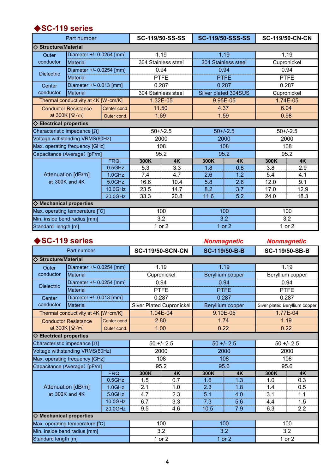# ◆SC-119 series

|                                      | Part number                                 |             |             | <b>SC-119/50-SS-SS</b> |                     | <b>SC-119/50-SSS-SS</b> | <b>SC-119/50-CN-CN</b> |             |
|--------------------------------------|---------------------------------------------|-------------|-------------|------------------------|---------------------|-------------------------|------------------------|-------------|
| $\diamond$ Structure/Material        |                                             |             |             |                        |                     |                         |                        |             |
| Outer                                | Diameter +/- 0.0254 [mm]                    |             |             | 1.19                   |                     | 1.19                    |                        | 1.19        |
| conductor                            | <b>Material</b>                             |             |             | 304 Stainless steel    | 304 Stainless steel |                         |                        | Cupronickel |
|                                      | Diameter +/- 0.0254 [mm]                    |             | 0.94        |                        |                     | 0.94                    |                        | 0.94        |
| <b>Dielectric</b>                    | <b>Material</b>                             |             | <b>PTFE</b> |                        | <b>PTFE</b>         |                         |                        | <b>PTFE</b> |
| Center                               | Diameter +/- 0.013 [mm]                     |             |             | 0.287                  |                     | 0.287                   |                        | 0.287       |
| conductor                            | Material                                    |             |             | 304 Stainless steel    |                     | Silver plated 304SUS    |                        | Cupronickel |
| Thermal conductivity at 4K [W·cm/K]  |                                             |             |             | 1.32E-05               |                     | 9.95E-05                |                        | 1.74E-05    |
|                                      | Center cond.<br><b>Conductor Resistance</b> |             |             | 11.50                  | 4.37                |                         | 6.04                   |             |
|                                      | at 300K $\lceil \Omega/m \rceil$            | Outer cond. | 1.69        |                        | 1.59                |                         | 0.98                   |             |
| $\diamondsuit$ Electrical properties |                                             |             |             |                        |                     |                         |                        |             |
| Characteristic impedance [Ω]         |                                             |             |             | $50+/-2.5$             |                     | $50+/-2.5$              |                        | $50+/-2.5$  |
|                                      | Voltage withstanding VRMS(60Hz)             |             |             | 2000                   |                     | 2000                    |                        | 2000        |
| Max. operating frequency [GHz]       |                                             |             |             | 108                    |                     | 108                     |                        | 108         |
| Capacitance (Average) [pF/m]         |                                             |             |             | 95.2                   | 95.2                |                         | 95.2                   |             |
|                                      |                                             | FRQ.        | 300K        | 4K                     | 300K                | 4K                      | 300K                   | 4K          |
|                                      |                                             | $0.5$ GHz   | 5.3         | 3.3                    | 1.8                 | 0.8                     | 3.8                    | 2.9         |
|                                      | Attenuation [dB/m]                          | $1.0$ GHz   | 7.4         | 4.7                    | 2.6                 | 1.2                     | 5.4                    | 4.1         |
|                                      | at 300K and 4K                              | $5.0$ GHz   | 16.6        | 10.4                   | 5.8                 | 2.6                     | 12.0                   | 9.1         |
|                                      |                                             | 10.0GHz     | 23.5        | 14.7                   | 8.2                 | 3.7                     | 17.0                   | 12.9        |
|                                      |                                             | 20.0GHz     | 33.3        | 20.8                   | 11.6                | 5.2                     | 24.0                   | 18.3        |
| $\diamond$ Mechanical properties     |                                             |             |             |                        |                     |                         |                        |             |
| Max. operating temperature [°C]      |                                             |             |             | 100                    | 100                 |                         | 100                    |             |
| Min. inside bend radius [mm]         |                                             |             |             | 3.2                    |                     | 3.2                     | 3.2                    |             |
| Standard length [m]                  |                                             |             |             | 1 or 2                 |                     | 1 or 2                  | 1 or 2                 |             |

| SC-119 series                        |                                                      |              |      |                                 |                  | <b>Nonmagnetic</b> |             | <b>Nonmagnetic</b>            |
|--------------------------------------|------------------------------------------------------|--------------|------|---------------------------------|------------------|--------------------|-------------|-------------------------------|
|                                      | Part number                                          |              |      | <b>SC-119/50-SCN-CN</b>         |                  | SC-119/50-B-B      |             | SC-119/50-SB-B                |
| <b>♦ Structure/Material</b>          |                                                      |              |      |                                 |                  |                    |             |                               |
| Outer                                | Diameter +/- 0.0254 [mm]                             |              |      | 1.19                            | 1.19             |                    | 1.19        |                               |
| conductor                            | <b>Material</b>                                      |              |      | Cupronickel                     | Beryllium copper |                    |             | Beryllium copper              |
| <b>Dielectric</b>                    | Diameter +/- 0.0254 [mm]                             |              |      | 0.94                            | 0.94             |                    | 0.94        |                               |
|                                      | <b>Material</b>                                      |              |      | <b>PTFE</b>                     | <b>PTFE</b>      |                    | <b>PTFE</b> |                               |
| Center                               | Diameter +/- 0.013 [mm]                              |              |      | 0.287                           |                  | 0.287              |             | 0.287                         |
| conductor                            | <b>Material</b>                                      |              |      | <b>Siver Plated Cupronickel</b> |                  | Beryllium copper   |             | Siver plated Beryllium copper |
|                                      | Thermal conductivity at 4K [W·cm/K]                  |              |      | 1.04E-04                        |                  | $9.10E-05$         |             | 1.77E-04                      |
|                                      | <b>Conductor Resistance</b>                          | Center cond. |      | 2.80                            |                  | 1.74               | 1.19        |                               |
|                                      | at 300K $\lceil \Omega/m \rceil$                     | Outer cond.  |      | 1.00                            |                  | 0.22               | 0.22        |                               |
| $\diamondsuit$ Electrical properties |                                                      |              |      |                                 |                  |                    |             |                               |
|                                      | Characteristic impedance $[\Omega]$                  |              |      | $50 + 2.5$                      |                  | $50 + 2.5$         |             | $50 + 2.5$                    |
|                                      | Voltage withstanding VRMS(60Hz)                      |              |      | 2000                            | 2000             |                    |             | 2000                          |
|                                      | Max. operating frequency [GHz]                       |              |      | 108                             | 108              |                    |             | 108                           |
|                                      | Capacitance (Average) [pF/m]                         |              |      | 95.2                            |                  | 95.6               |             | 95.6                          |
|                                      |                                                      | FRQ.         | 300K | 4K                              | 300K             | 4K                 | 300K        | <b>4K</b>                     |
|                                      |                                                      | $0.5$ GHz    | 1.5  | 0.7                             | 1.6              | 1.3                | 1.0         | 0.3                           |
|                                      | Attenuation [dB/m]                                   | $1.0$ GHz    | 2.1  | 1.0                             | 2.3              | 1.8                | 1.4         | 0.5                           |
|                                      | at 300K and 4K                                       | $5.0$ GHz    | 4.7  | 2.3                             | 5.1              | 4.0                | 3.1         | 1.1                           |
|                                      |                                                      | 10.0GHz      | 6.7  | 3.3                             | 7.3              | 5.6                | 4.4         | 1.5                           |
|                                      |                                                      | 20.0GHz      | 9.5  | 4.6                             | 10.5             | 7.9                | 6.3         | 2.2                           |
| $\diamond$ Mechanical properties     |                                                      |              |      |                                 |                  |                    |             |                               |
|                                      | 100<br>100<br>100<br>Max. operating temperature [°C] |              |      |                                 |                  |                    |             |                               |
|                                      | 3.2<br>3.2<br>Min. inside bend radius [mm]<br>3.2    |              |      |                                 |                  |                    |             |                               |
| Standard length [m]                  |                                                      |              |      | 1 or 2                          |                  | 1 or 2             |             | 1 or 2                        |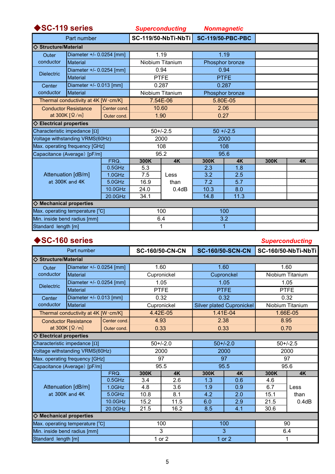| SC-119 series                                   |                                     |              |      | <b>Superconducting</b> |       | <b>Nonmagnetic</b>       |      |    |
|-------------------------------------------------|-------------------------------------|--------------|------|------------------------|-------|--------------------------|------|----|
|                                                 | Part number                         |              |      | SC-119/50-NbTi-NbTi    |       | <b>SC-119/50-PBC-PBC</b> |      |    |
| $\diamond$ Structure/Material                   |                                     |              |      |                        |       |                          |      |    |
| Outer                                           | Diameter +/- 0.0254 [mm]            |              |      | 1.19                   | 1.19  |                          |      |    |
| conductor                                       | Material                            |              |      | Niobium Titanium       |       | Phosphor bronze          |      |    |
| <b>Dielectric</b>                               | Diameter +/- 0.0254 [mm]            |              |      | 0.94                   |       | 0.94                     |      |    |
|                                                 | Material                            |              |      | <b>PTFE</b>            |       | <b>PTFE</b>              |      |    |
| Center                                          | Diameter +/- 0.013 [mm]             |              |      | 0.287                  | 0.287 |                          |      |    |
| conductor                                       | Material                            |              |      | Niobium Titanium       |       | Phosphor bronze          |      |    |
|                                                 | Thermal conductivity at 4K [W·cm/K] |              |      | 7.54E-06               |       | 5.80E-05                 |      |    |
| <b>Conductor Resistance</b>                     |                                     | Center cond. |      | 10.60                  |       | 2.06                     |      |    |
| at 300K $\lceil \Omega/m \rceil$<br>Outer cond. |                                     |              | 1.90 | 0.27                   |       |                          |      |    |
| $\diamondsuit$ Electrical properties            |                                     |              |      |                        |       |                          |      |    |
|                                                 | Characteristic impedance $[\Omega]$ |              |      | $50+/-2.5$             |       | $50 + (-2.5)$            |      |    |
|                                                 | Voltage withstanding VRMS(60Hz)     |              | 2000 |                        |       | 2000                     |      |    |
|                                                 | Max. operating frequency [GHz]      |              | 108  |                        | 108   |                          |      |    |
|                                                 | Capacitance (Average) [pF/m]        |              |      | 95.2                   |       | 95.6                     |      |    |
|                                                 |                                     | FRQ.         | 300K | 4K                     | 300K  | 4K                       | 300K | 4K |
|                                                 |                                     | $0.5$ GHz    | 5.3  |                        | 2.3   | 1.8                      |      |    |
|                                                 | Attenuation [dB/m]                  | $1.0$ GHz    | 7.5  | Less                   | 3.2   | 2.5                      |      |    |
|                                                 | at 300K and 4K                      | $5.0$ GHz    | 16.9 | than                   | 7.2   | 5.7                      |      |    |
|                                                 |                                     | 10.0GHz      | 24.0 | 0.4dB                  | 10.3  | 8.0                      |      |    |
|                                                 | 20.0GHz                             |              | 34.1 |                        | 14.8  | 11.3                     |      |    |
| $\diamond$ Mechanical properties                |                                     |              |      |                        |       |                          |      |    |
|                                                 | Max. operating temperature [°C]     |              |      | 100                    |       | 100                      |      |    |
| Min. inside bend radius [mm]                    |                                     |              |      | 6.4                    |       | 3.2                      |      |    |
| Standard length [m]                             |                                     |              |      | 1                      |       | $\overline{1}$           |      |    |

# ◆SC-160 series

#### **Superconducting**

|                                             | Part number                     |             |      | <b>SC-160/50-CN-CN</b> |      | <b>SC-160/50-SCN-CN</b>          |                  | SC-160/50-NbTi-NbTi |
|---------------------------------------------|---------------------------------|-------------|------|------------------------|------|----------------------------------|------------------|---------------------|
| $\Diamond$ Structure/Material               |                                 |             |      |                        |      |                                  |                  |                     |
| Outer                                       | Diameter +/- 0.0254 [mm]        |             |      | 1.60                   |      | 1.60                             |                  | 1.60                |
| conductor                                   | <b>Material</b>                 |             |      | Cupronickel            |      | Cupronckel                       | Niobium Titanium |                     |
| <b>Dielectric</b>                           | Diameter +/- 0.0254 [mm]        |             |      | 1.05                   | 1.05 |                                  |                  | 1.05                |
| Material                                    |                                 |             |      | <b>PTFE</b>            |      | <b>PTFE</b>                      | <b>PTFE</b>      |                     |
| Center                                      | Diameter +/- 0.013 [mm]         |             |      | 0.32                   |      | 0.32                             |                  | 0.32                |
| conductor                                   | Material                        |             |      | Cupronickel            |      | <b>Silver plated Cupronickel</b> |                  | Niobium Titanium    |
| Thermal conductivity at 4K [W·cm/K]         |                                 |             |      | 4.42E-05               |      | $1.41E - 04$                     |                  | 1.66E-05            |
| Center cond.<br><b>Conductor Resistance</b> |                                 |             | 4.93 |                        | 2.38 |                                  | 8.95             |                     |
|                                             | at 300K $[\Omega/m]$            | Outer cond. |      | 0.33                   | 0.33 |                                  | 0.70             |                     |
| $\diamondsuit$ Electrical properties        |                                 |             |      |                        |      |                                  |                  |                     |
| Characteristic impedance $[\Omega]$         |                                 |             |      | $50+/-2.0$             |      | $50+/-2.0$                       |                  | $50+/-2.5$          |
|                                             | Voltage withstanding VRMS(60Hz) |             |      | 2000                   |      | 2000                             |                  | 2000                |
|                                             | Max. operating frequency [GHz]  |             |      | 97                     |      | 97                               |                  | 97                  |
|                                             | Capacitance (Average) [pF/m]    |             | 95.5 |                        | 95.5 |                                  | 95.6             |                     |
|                                             |                                 | FRQ.        | 300K | <b>4K</b>              | 300K | <b>4K</b>                        | 300K             | <b>4K</b>           |
|                                             |                                 | $0.5$ GHz   | 3.4  | 2.6                    | 1.3  | 0.6                              | 4.6              |                     |
|                                             | Attenuation [dB/m]              | $1.0$ GHz   | 4.8  | 3.6                    | 1.9  | 0.9                              | 6.7              | Less                |
|                                             | at 300K and 4K                  | 5.0GHz      | 10.8 | 8.1                    | 4.2  | 2.0                              | 15.1             | than                |
|                                             |                                 | 10.0GHz     | 15.2 | 11.5                   | 6.0  | 2.9                              | 21.5             | 0.4dB               |
| 20.0GHz                                     |                                 |             | 21.5 | 16.2                   | 8.5  | 4.1                              | 30.6             |                     |
| <b>♦ Mechanical properties</b>              |                                 |             |      |                        |      |                                  |                  |                     |
|                                             | Max. operating temperature [°C] |             |      | 100                    | 100  |                                  | 90               |                     |
| Min. inside bend radius [mm]                |                                 |             |      | 3                      | 3    |                                  | 6.4              |                     |
| Standard length [m]                         |                                 |             |      | 1 or 2                 |      | 1 or 2                           | 1                |                     |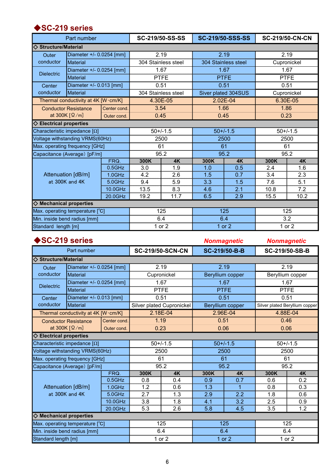# ◆SC-219 series

|                                      | Part number                                 |             |             | SC-219/50-SS-SS     |                     | <b>SC-219/50-SSS-SS</b> |        | <b>SC-219/50-CN-CN</b> |  |
|--------------------------------------|---------------------------------------------|-------------|-------------|---------------------|---------------------|-------------------------|--------|------------------------|--|
| $\Diamond$ Structure/Material        |                                             |             |             |                     |                     |                         |        |                        |  |
| Outer                                | Diameter +/- 0.0254 [mm]                    |             |             | 2.19                |                     | 2.19                    |        | 2.19                   |  |
| conductor                            | <b>Material</b>                             |             |             | 304 Stainless steel | 304 Stainless steel |                         |        | Cupronickel            |  |
|                                      | Diameter +/- 0.0254 [mm]                    |             | 1.67        |                     | 1.67                |                         |        | 1.67                   |  |
| <b>Dielectric</b>                    | <b>Material</b>                             |             | <b>PTFE</b> |                     | <b>PTFE</b>         |                         |        | <b>PTFE</b>            |  |
| Center                               | Diameter +/- 0.013 [mm]                     |             |             | 0.51                |                     | 0.51                    |        | 0.51                   |  |
| conductor                            | <b>Material</b>                             |             |             | 304 Stainless steel |                     | Siver plated 304SUS     |        | Cupronickel            |  |
|                                      | Thermal conductivity at 4K [W·cm/K]         |             |             | 4.30E-05            |                     | 2.02E-04                |        | 6.30E-05               |  |
|                                      | Center cond.<br><b>Conductor Resistance</b> |             |             | 3.54                |                     | 1.66                    |        | 1.86                   |  |
|                                      | at 300K $\lceil \Omega/m \rceil$            | Outer cond. |             | 0.45                | 0.45                |                         | 0.23   |                        |  |
| $\diamondsuit$ Electrical properties |                                             |             |             |                     |                     |                         |        |                        |  |
|                                      | Characteristic impedance [Ω]                |             |             | $50+/-1.5$          |                     | $50+/-1.5$              |        | $50+/-1.5$             |  |
|                                      | Voltage withstanding VRMS(60Hz)             |             |             | 2500                |                     | 2500                    |        | 2500                   |  |
|                                      | Max. operating frequency [GHz]              |             | 61          |                     |                     | 61                      |        | 61                     |  |
|                                      | Capacitance (Average) [pF/m]                |             |             | 95.2                |                     | 95.2                    |        | 95.2                   |  |
|                                      |                                             | FRQ.        | 300K        | <b>4K</b>           | 300K                | <b>4K</b>               | 300K   | <b>4K</b>              |  |
|                                      |                                             | $0.5$ GHz   | 3.0         | 1.9                 | 1.0                 | 0.5                     | 2.4    | 1.6                    |  |
|                                      | Attenuation [dB/m]                          | $1.0$ GHz   | 4.2         | 2.6                 | 1.5                 | 0.7                     | 3.4    | 2.3                    |  |
|                                      | at 300K and 4K                              | $5.0$ GHz   | 9.4         | 5.9                 | 3.3                 | 1.5                     | 7.6    | 5.1                    |  |
|                                      |                                             | 10.0GHz     | 13.5        | 8.3                 | 4.6                 | 2.1                     | 10.8   | 7.2                    |  |
|                                      |                                             | 20.0GHz     | 19.2        | 11.7                | 6.5                 | 2.9                     | 15.5   | 10.2                   |  |
| $\diamond$ Mechanical properties     |                                             |             |             |                     |                     |                         |        |                        |  |
|                                      | Max. operating temperature [°C]             |             |             | 125                 |                     | 125                     |        | 125                    |  |
| Min. inside bend radius [mm]         |                                             |             |             | 6.4                 | 6.4                 |                         | 3.2    |                        |  |
| Standard length [m]                  |                                             |             |             | 1 or 2              |                     | 1 or $2$                | 1 or 2 |                        |  |

|                                  | SC-219 series                                     |              |      |                           |      | <b>Nonmagnetic</b> |             | <b>Nonmagnetic</b>             |
|----------------------------------|---------------------------------------------------|--------------|------|---------------------------|------|--------------------|-------------|--------------------------------|
|                                  | Part number                                       |              |      | <b>SC-219/50-SCN-CN</b>   |      | SC-219/50-B-B      |             | SC-219/50-SB-B                 |
| $\Diamond$ Structure/Material    |                                                   |              |      |                           |      |                    |             |                                |
| Outer                            | Diameter +/- 0.0254 [mm]                          |              |      | 2.19                      | 2.19 |                    |             | 2.19                           |
| conductor                        | Material                                          |              |      | Cupronickel               |      | Beryllium copper   |             | Beryllium copper               |
|                                  | Diameter +/- 0.0254 [mm]                          |              |      | 1.67                      | 1.67 |                    | 1.67        |                                |
| <b>Dielectric</b>                | <b>Material</b>                                   |              |      | <b>PTFE</b>               |      | <b>PTFE</b>        | <b>PTFE</b> |                                |
| Center                           | Diameter +/- 0.013 [mm]                           |              |      | 0.51                      |      | 0.51               |             | 0.51                           |
| conductor                        | <b>Material</b>                                   |              |      | Silver plated Cupronickel |      | Beryllium copper   |             | Silver plated Beryllium copper |
|                                  | Thermal conductivity at 4K [W·cm/K]               |              |      | 2.18E-04                  |      | 2.96E-04           |             | 4.88E-04                       |
|                                  | <b>Conductor Resistance</b>                       | Center cond. |      | 1.19                      |      | 0.51               | 0.46        |                                |
|                                  | at 300K $\lceil \Omega/m \rceil$                  | Outer cond.  | 0.23 |                           | 0.06 |                    | 0.06        |                                |
| $\diamond$ Electrical properties |                                                   |              |      |                           |      |                    |             |                                |
|                                  | Characteristic impedance $[\Omega]$               |              |      | $50+/-1.5$                |      | $50+/-1.5$         |             | $50+/-1.5$                     |
|                                  | Voltage withstanding VRMS(60Hz)                   |              |      | 2500                      | 2500 |                    |             | 2500                           |
|                                  | Max. operating frequency [GHz]                    |              |      | 61                        | 61   |                    |             | 61                             |
|                                  | Capacitance (Average) [pF/m]                      |              |      | 95.2                      |      | 95.2               |             | 95.2                           |
|                                  |                                                   | FRQ.         | 300K | 4K                        | 300K | <b>4K</b>          | 300K        | <b>4K</b>                      |
|                                  |                                                   | $0.5$ GHz    | 0.8  | 0.4                       | 0.9  | 0.7                | 0.6         | 0.2                            |
|                                  | Attenuation [dB/m]                                | 1.0GHz       | 1.2  | 0.6                       | 1.3  | $\mathbf{1}$       | 0.8         | 0.3                            |
|                                  | at 300K and 4K                                    | $5.0$ GHz    | 2.7  | 1.3                       | 2.9  | 2.2                | 1.8         | 0.6                            |
|                                  |                                                   | 10.0GHz      | 3.8  | 1.8                       | 4.1  | 3.2                | 2.5         | 0.9                            |
|                                  |                                                   | 20.0GHz      | 5.3  | 2.6                       | 5.8  | 4.5                | 3.5         | 1.2                            |
| ♦ Mechanical properties          |                                                   |              |      |                           |      |                    |             |                                |
|                                  | Max. operating temperature [°C]                   |              |      | 125                       |      | 125                |             | 125                            |
|                                  | Min. inside bend radius [mm]<br>6.4<br>6.4<br>6.4 |              |      |                           |      |                    |             |                                |
| Standard length [m]              |                                                   |              |      | 1 or 2                    |      | 1 or $2$           |             | 1 or 2                         |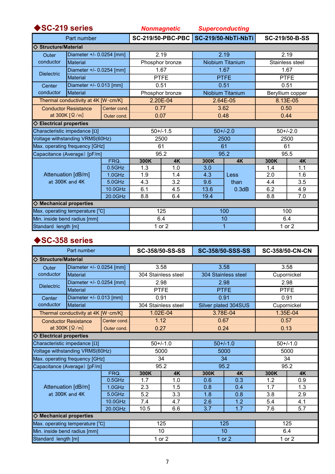| SC-219 series                                                                                          |                                      |                          | <b>Nonmagnetic</b>   |     | <b>Superconducting</b>     |           |                  |           |  |  |
|--------------------------------------------------------------------------------------------------------|--------------------------------------|--------------------------|----------------------|-----|----------------------------|-----------|------------------|-----------|--|--|
| Part number                                                                                            |                                      |                          | SC-219/50-PBC-PBC    |     | <b>SC-219/50-NbTi-NbTi</b> |           | SC-219/50-B-SS   |           |  |  |
| <b>Structure/Material</b>                                                                              |                                      |                          |                      |     |                            |           |                  |           |  |  |
| Outer                                                                                                  |                                      | Diameter +/- 0.0254 [mm] | 2.19                 |     | 2.19                       |           | 2.19             |           |  |  |
| conductor                                                                                              | Material                             |                          | Phosphor bronze      |     | Niobium Titanium           |           | Stainless steel  |           |  |  |
| <b>Dielectric</b>                                                                                      | Diameter +/- 0.0254 [mm]             |                          | 1.67                 |     | 1.67                       |           | 1.67             |           |  |  |
|                                                                                                        | Material                             |                          | <b>PTFE</b>          |     | <b>PTFE</b>                |           | <b>PTFE</b>      |           |  |  |
| Center                                                                                                 | Diameter +/- 0.013 [mm]              |                          | 0.51                 |     | 0.51                       |           | 0.51             |           |  |  |
| conductor                                                                                              | Material                             |                          | Phosphor bronze      |     | <b>Niobium Titanium</b>    |           | Beryllium copper |           |  |  |
|                                                                                                        | Thermal conductivity at 4K [W·cm/K]  |                          | 2.20E-04             |     | 2.64E-05                   |           | 8.13E-05         |           |  |  |
|                                                                                                        | <b>Conductor Resistance</b>          |                          | 0.77<br>Center cond. |     | 3.62                       |           | 0.50             |           |  |  |
| at 300K $[\Omega/m]$                                                                                   |                                      | Outer cond.              | 0.07                 |     | 0.48                       |           | 0.44             |           |  |  |
|                                                                                                        | $\diamondsuit$ Electrical properties |                          |                      |     |                            |           |                  |           |  |  |
| Characteristic impedance $[\Omega]$                                                                    |                                      |                          | $50+/-1.5$           |     | $50+/-2.0$                 |           | $50+/-2.0$       |           |  |  |
| Voltage withstanding VRMS(60Hz)                                                                        |                                      |                          | 2500                 |     | 2500                       |           | 2500             |           |  |  |
| Max. operating frequency [GHz]                                                                         |                                      |                          | 61                   |     | 61                         |           | 61               |           |  |  |
| Capacitance (Average) [pF/m]                                                                           |                                      |                          | 95.2                 |     | 95.2                       |           | 95.5             |           |  |  |
| FRQ.<br>$0.5$ GHz<br>Attenuation [dB/m]<br>1.0GHz<br>at 300K and 4K<br>$5.0$ GHz<br>10.0GHz<br>20.0GHz |                                      |                          | 300K                 | 4K  | 300K                       | <b>4K</b> | 300K             | <b>4K</b> |  |  |
|                                                                                                        |                                      |                          | 1.3                  | 1.0 | 3.0                        |           | 1.4              | 1.1       |  |  |
|                                                                                                        |                                      |                          | 1.9                  | 1.4 | 4.3                        | Less      | 2.0              | 1.6       |  |  |
|                                                                                                        |                                      |                          | 4.3                  | 3.2 | 9.6                        | than      | 4.4              | 3.5       |  |  |
|                                                                                                        |                                      |                          | 6.1                  | 4.5 | 13.6                       | 0.3dB     | 6.2              | 4.9       |  |  |
|                                                                                                        |                                      |                          | 8.8                  | 6.4 | 19.4                       |           | 8.8              | 7.0       |  |  |
| $\diamond$ Mechanical properties                                                                       |                                      |                          |                      |     |                            |           |                  |           |  |  |
| Max. operating temperature [°C]                                                                        |                                      |                          | 125                  |     | 100                        |           | 100              |           |  |  |
| Min. inside bend radius [mm]                                                                           |                                      |                          | 6.4                  |     | 10                         |           | 6.4              |           |  |  |
| Standard length [m]                                                                                    |                                      |                          | 1 or $2$             |     | 1                          |           | 1 or 2           |           |  |  |

# ◆SC-358 series

| Part number                                                                                               |                             |              | SC-358/50-SS-SS     |           | <b>SC-358/50-SSS-SS</b> |           | <b>SC-358/50-CN-CN</b> |           |
|-----------------------------------------------------------------------------------------------------------|-----------------------------|--------------|---------------------|-----------|-------------------------|-----------|------------------------|-----------|
| <b>♦ Structure/Material</b>                                                                               |                             |              |                     |           |                         |           |                        |           |
| Outer                                                                                                     | Diameter +/- 0.0254 [mm]    |              | 3.58                |           | 3.58                    |           | 3.58                   |           |
| conductor                                                                                                 | <b>Material</b>             |              | 304 Stainless steel |           | 304 Stainless steel     |           | Cupornickel            |           |
|                                                                                                           | Diameter +/- 0.0254 [mm]    |              | 2.98                |           | 2.98                    |           | 2.98                   |           |
| <b>Dielectric</b>                                                                                         | <b>Material</b>             |              | <b>PTFE</b>         |           | <b>PTFE</b>             |           | <b>PTFE</b>            |           |
| Center                                                                                                    | Diameter +/- 0.013 [mm]     |              | 0.91                |           | 0.91                    |           | 0.91                   |           |
| conductor<br><b>Material</b>                                                                              |                             |              | 304 Stainless steel |           | Silver plated 304SUS    |           | Cupornickel            |           |
| Thermal conductivity at 4K [W·cm/K]                                                                       |                             |              | $1.02E - 04$        |           | 3.78E-04                |           | 1.35E-04               |           |
|                                                                                                           | <b>Conductor Resistance</b> | Center cond. | 1.12                |           | 0.67                    |           | 0.57                   |           |
| at 300K $\lceil \Omega/m \rceil$                                                                          |                             | Outer cond.  | 0.27                |           | 0.24                    |           | 0.13                   |           |
| $\diamondsuit$ Electrical properties                                                                      |                             |              |                     |           |                         |           |                        |           |
| Characteristic impedance $[\Omega]$                                                                       |                             |              | $50+/-1.0$          |           | $50+/-1.0$              |           | $50+/-1.0$             |           |
| Voltage withstanding VRMS(60Hz)                                                                           |                             |              | 5000                |           | 5000                    |           | 5000                   |           |
| Max. operating frequency [GHz]                                                                            |                             |              | 34                  |           | 34                      |           | 34                     |           |
| Capacitance (Average) [pF/m]                                                                              |                             |              | 95.2                |           | 95.2                    |           | 95.2                   |           |
| FRQ.<br>$0.5$ GHz<br>Attenuation [dB/m]<br>$1.0$ GHz<br>at 300K and 4K<br>$5.0$ GHz<br>10.0GHz<br>20.0GHz |                             |              | 300K                | <b>4K</b> | 300K                    | <b>4K</b> | 300K                   | <b>4K</b> |
|                                                                                                           |                             |              | 1.7                 | 1.0       | 0.6                     | 0.3       | 1.2                    | 0.9       |
|                                                                                                           |                             |              | 2.3                 | 1.5       | 0.8                     | 0.4       | 1.7                    | 1.3       |
|                                                                                                           |                             |              | 5.2                 | 3.3       | 1.8                     | 0.8       | 3.8                    | 2.9       |
|                                                                                                           |                             |              | 7.4                 | 4.7       | 2.6                     | 1.2       | 5.4                    | 4.1       |
|                                                                                                           |                             |              | 10.5                | 6.6       | 3.7                     | 1.7       | 7.6                    | 5.7       |
| $\diamond$ Mechanical properties                                                                          |                             |              |                     |           |                         |           |                        |           |
| Max. operating temperature [°C]                                                                           |                             |              | 125                 |           | 125                     |           | 125                    |           |
| Min. inside bend radius [mm]                                                                              |                             |              | 10                  |           | 10                      |           | 6.4                    |           |
| Standard length [m]                                                                                       |                             |              | 1 or $2$            |           | $1$ or $2$              |           | 1 or 2                 |           |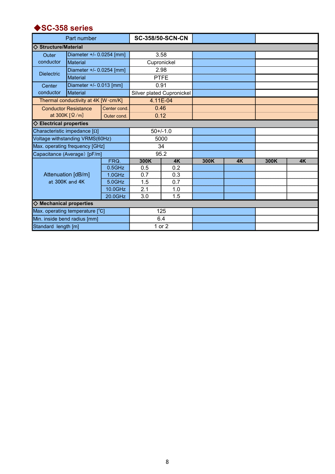## ◆SC-358 series

|                                      | Part number                         |              |                           | <b>SC-358/50-SCN-CN</b> |      |    |      |           |
|--------------------------------------|-------------------------------------|--------------|---------------------------|-------------------------|------|----|------|-----------|
| $\Diamond$ Structure/Material        |                                     |              |                           |                         |      |    |      |           |
| Outer                                | Diameter +/- 0.0254 [mm]            |              | 3.58                      |                         |      |    |      |           |
| conductor                            | Material                            |              | Cupronickel               |                         |      |    |      |           |
|                                      | Diameter +/- 0.0254 [mm]            |              | 2.98                      |                         |      |    |      |           |
| <b>Dielectric</b>                    | <b>Material</b>                     |              | <b>PTFE</b>               |                         |      |    |      |           |
| Diameter +/- 0.013 [mm]<br>Center    |                                     |              | 0.91                      |                         |      |    |      |           |
| conductor                            | Material                            |              | Silver plated Cupronickel |                         |      |    |      |           |
|                                      | Thermal conductivity at 4K [W·cm/K] |              | 4.11E-04                  |                         |      |    |      |           |
|                                      | <b>Conductor Resistance</b>         | Center cond. | 0.46                      |                         |      |    |      |           |
|                                      | at 300K $\lceil \Omega/m \rceil$    | Outer cond.  | 0.12                      |                         |      |    |      |           |
| $\diamondsuit$ Electrical properties |                                     |              |                           |                         |      |    |      |           |
| Characteristic impedance [Ω]         |                                     |              | $50+/-1.0$                |                         |      |    |      |           |
| Voltage withstanding VRMS(60Hz)      |                                     |              | 5000                      |                         |      |    |      |           |
| Max. operating frequency [GHz]       |                                     |              | 34                        |                         |      |    |      |           |
| Capacitance (Average) [pF/m]         |                                     |              | 95.2                      |                         |      |    |      |           |
|                                      | FRQ.                                |              | 300K                      | <b>4K</b>               | 300K | 4K | 300K | <b>4K</b> |
|                                      |                                     | $0.5$ GHz    | 0.5                       | 0.2                     |      |    |      |           |
| Attenuation [dB/m]<br>at 300K and 4K |                                     | $1.0$ GHz    | 0.7                       | 0.3                     |      |    |      |           |
|                                      |                                     | $5.0$ GHz    | 1.5                       | 0.7                     |      |    |      |           |
|                                      |                                     | 10.0GHz      | 2.1                       | 1.0                     |      |    |      |           |
|                                      |                                     | 20.0GHz      | 3.0                       | 1.5                     |      |    |      |           |
| $\diamond$ Mechanical properties     |                                     |              |                           |                         |      |    |      |           |
| Max. operating temperature [°C]      |                                     |              | 125                       |                         |      |    |      |           |
| Min. inside bend radius [mm]         |                                     |              | 6.4                       |                         |      |    |      |           |
| Standard length [m]                  |                                     |              | 1 or 2                    |                         |      |    |      |           |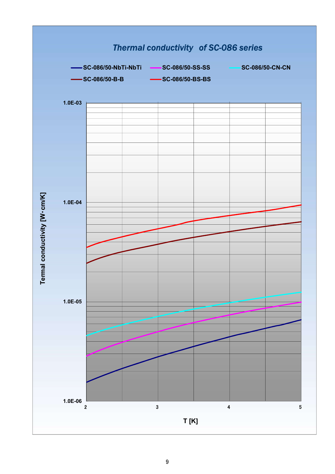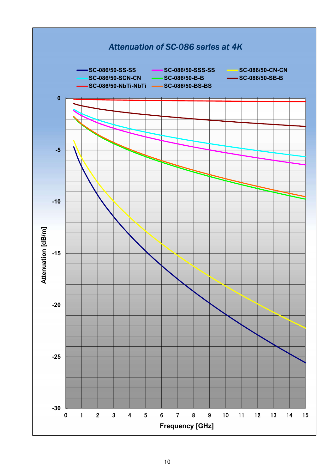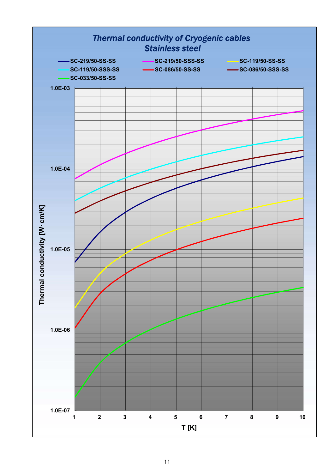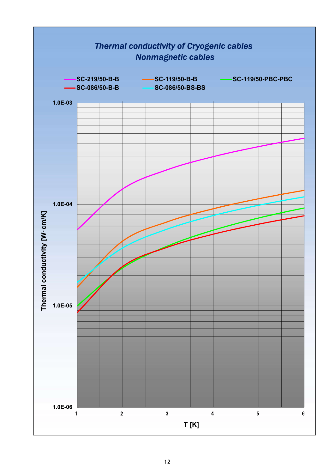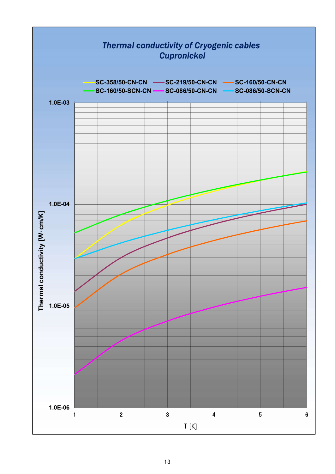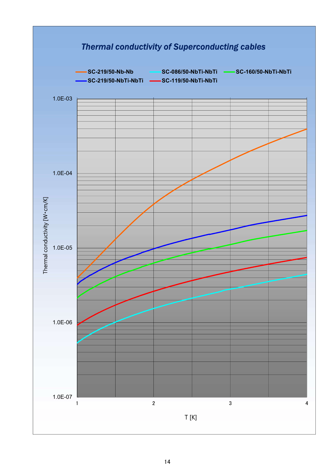